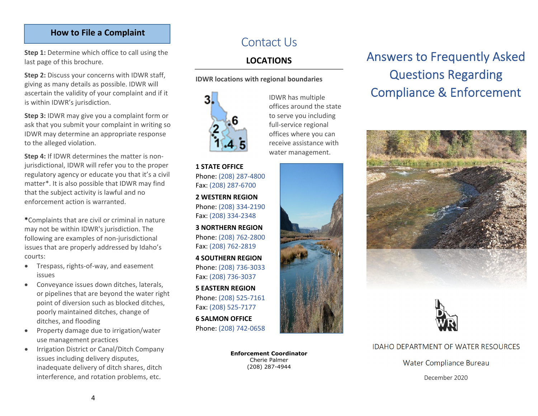#### **How to File a Complaint**

**Step 1:** Determine which office to call using the last page of this brochure.

**Step 2:** Discuss your concerns with IDWR staff, giving as many details as possible. IDWR will ascertain the validity of your complaint and if it is within IDWR's jurisdiction.

**Step 3:** IDWR may give you <sup>a</sup> complaint for m or ask that you submit your complaint in writing so IDWR may determine an appropriate response to the alleged violation.

**Step 4:** If IDWR determines the matter is non‐ jurisdictional, IDWR will refer you to the proper regulatory agency or educate you that it's <sup>a</sup> civil matter\*. It is also possible that IDWR may find that the subject activity is lawful and no enforcement action is warranted.

**\***Complaints that are civil or criminal in nature may not be within IDWR's jurisdiction. The following are examples of non‐jurisdictional issues that are properly addressed by Idaho's courts:

- $\bullet$  Trespass, rights‐of‐way, and easement issues
- $\bullet$  Conveyance issues down ditches, laterals, or pipelines that are beyond the water right point of diversion such as blocked ditches, poorly maintained ditches, change of ditches, and flooding
- $\bullet$  Property damage due to irrigation/water use management practices
- $\bullet$  Irrigation District or Canal/Ditch Company issues including delivery disputes, inadequate delivery of ditch shares, ditch interference, and rotation problems, etc.

## Contact Us

### **LOCATIONS**

#### **IDWR locations with regional boundaries**



**1 STATE OFFICE** Phone: (208) 287‐4800 Fax: (208) 287‐6700

**2 WESTERN REGION** Phone: (208) 334‐2190 Fax: (208) 334‐2348

**3 NORTHERN REGION** Phone: (208) 762‐2800 Fax: (208) 762‐2819

**4 SOUTHERN REGION** Phone: (208) 736‐3033 Fax: (208) 736‐3037

**5 EASTERN REGION** Phone: (208) 525‐7161 Fax: (208) 525‐7177

**6 SALMON OFFICE** Phone: (208) 742‐0658

> **Enforcement Coordinator** Cherie Palmer (208) 287-4944

#### IDWR has multiple offices around the state to serve you including full‐service regional offices where you can receive assistance withwater management.



# Answers to Frequently Asked Questions Regarding Compliance & Enforcement





#### IDAHO DEPARTMENT OF WATER RESOURCES I

Water Compliance Bureau Water Compliance Bureau

December 2020